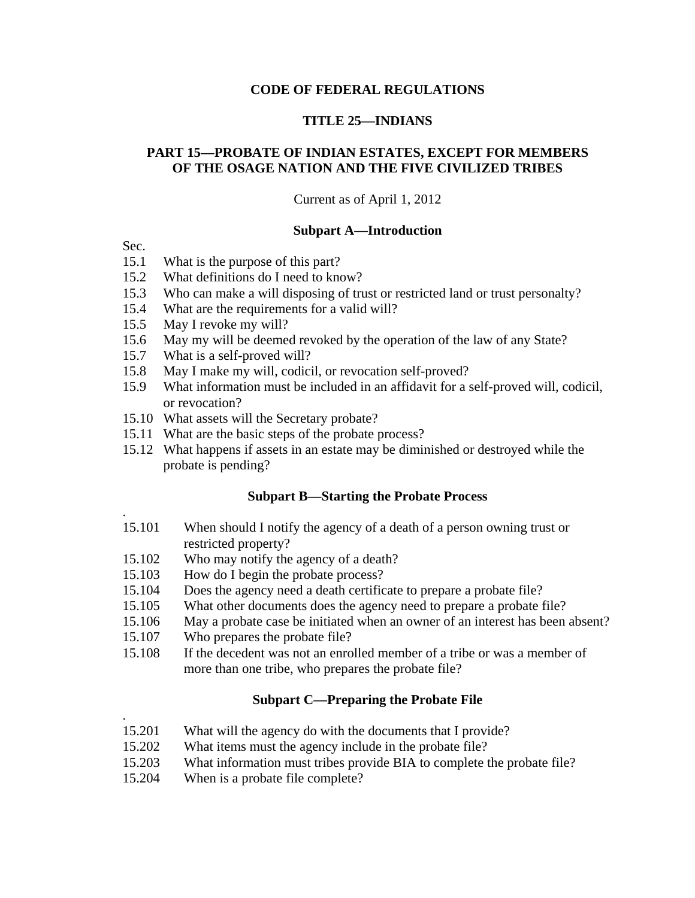### **CODE OF FEDERAL REGULATIONS**

### **TITLE 25—INDIANS**

# **PART 15—PROBATE OF INDIAN ESTATES, EXCEPT FOR MEMBERS OF THE OSAGE NATION AND THE FIVE CIVILIZED TRIBES**

Current as of April 1, 2012

#### **Subpart A—Introduction**

Sec.

.

.

- 15.1 What is the purpose of this part?
- 15.2 What definitions do I need to know?
- 15.3 Who can make a will disposing of trust or restricted land or trust personalty?<br>15.4 What are the requirements for a valid will?
- 15.4 What are the requirements for a valid will?<br>15.5 May I revoke my will?
- May I revoke my will?
- 15.6 May my will be deemed revoked by the operation of the law of any State?
- 15.7 What is a self-proved will?<br>15.8 May I make my will, codici
- May I make my will, codicil, or revocation self-proved?
- 15.9 What information must be included in an affidavit for a self-proved will, codicil, or revocation?
- 15.10 What assets will the Secretary probate?
- 15.11 What are the basic steps of the probate process?
- 15.12 What happens if assets in an estate may be diminished or destroyed while the probate is pending?

### **Subpart B—Starting the Probate Process**

- 15.101 When should I notify the agency of a death of a person owning trust or restricted property?
- 15.102 Who may notify the agency of a death?
- 15.103 How do I begin the probate process?
- 15.104 Does the agency need a death certificate to prepare a probate file?
- 15.105 What other documents does the agency need to prepare a probate file?
- 15.106 May a probate case be initiated when an owner of an interest has been absent?
- 15.107 Who prepares the probate file?
- 15.108 If the decedent was not an enrolled member of a tribe or was a member of more than one tribe, who prepares the probate file?

# **Subpart C—Preparing the Probate File**

- 15.201 What will the agency do with the documents that I provide?
- 15.202 What items must the agency include in the probate file?
- 15.203 What information must tribes provide BIA to complete the probate file?
- 15.204 When is a probate file complete?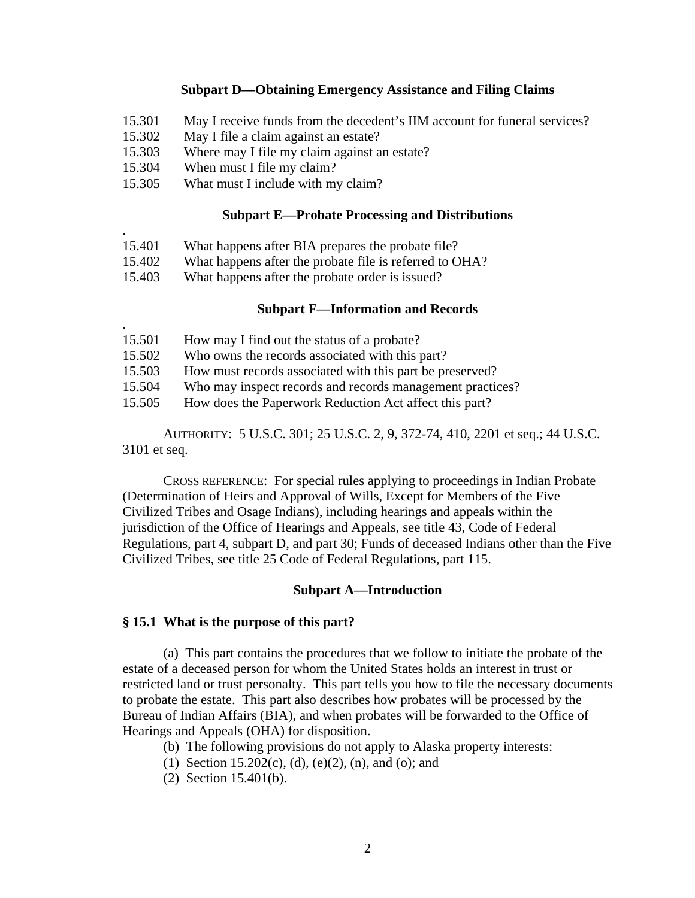#### **Subpart D—Obtaining Emergency Assistance and Filing Claims**

- 15.301 May I receive funds from the decedent's IIM account for funeral services?
- 15.302 May I file a claim against an estate?
- 15.303 Where may I file my claim against an estate?
- 15.304 When must I file my claim?

.

15.305 What must I include with my claim?

### **Subpart E—Probate Processing and Distributions**

- 15.401 What happens after BIA prepares the probate file?
- 15.402 What happens after the probate file is referred to OHA?
- 15.403 What happens after the probate order is issued?

#### **Subpart F—Information and Records**

| 15.501 | How may I find out the status of a probate?               |
|--------|-----------------------------------------------------------|
| 15.502 | Who owns the records associated with this part?           |
| 15.503 | How must records associated with this part be preserved?  |
| 15.504 | Who may inspect records and records management practices? |
| 15.505 | How does the Paperwork Reduction Act affect this part?    |

AUTHORITY: 5 U.S.C. 301; 25 U.S.C. 2, 9, 372-74, 410, 2201 et seq.; 44 U.S.C. 3101 et seq.

CROSS REFERENCE: For special rules applying to proceedings in Indian Probate (Determination of Heirs and Approval of Wills, Except for Members of the Five Civilized Tribes and Osage Indians), including hearings and appeals within the jurisdiction of the Office of Hearings and Appeals, see title 43, Code of Federal Regulations, part 4, subpart D, and part 30; Funds of deceased Indians other than the Five Civilized Tribes, see title 25 Code of Federal Regulations, part 115.

### **Subpart A—Introduction**

### **§ 15.1 What is the purpose of this part?**

(a) This part contains the procedures that we follow to initiate the probate of the estate of a deceased person for whom the United States holds an interest in trust or restricted land or trust personalty. This part tells you how to file the necessary documents to probate the estate. This part also describes how probates will be processed by the Bureau of Indian Affairs (BIA), and when probates will be forwarded to the Office of Hearings and Appeals (OHA) for disposition.

- (b) The following provisions do not apply to Alaska property interests:
- (1) Section 15.202(c), (d), (e)(2), (n), and (o); and
- (2) Section 15.401(b).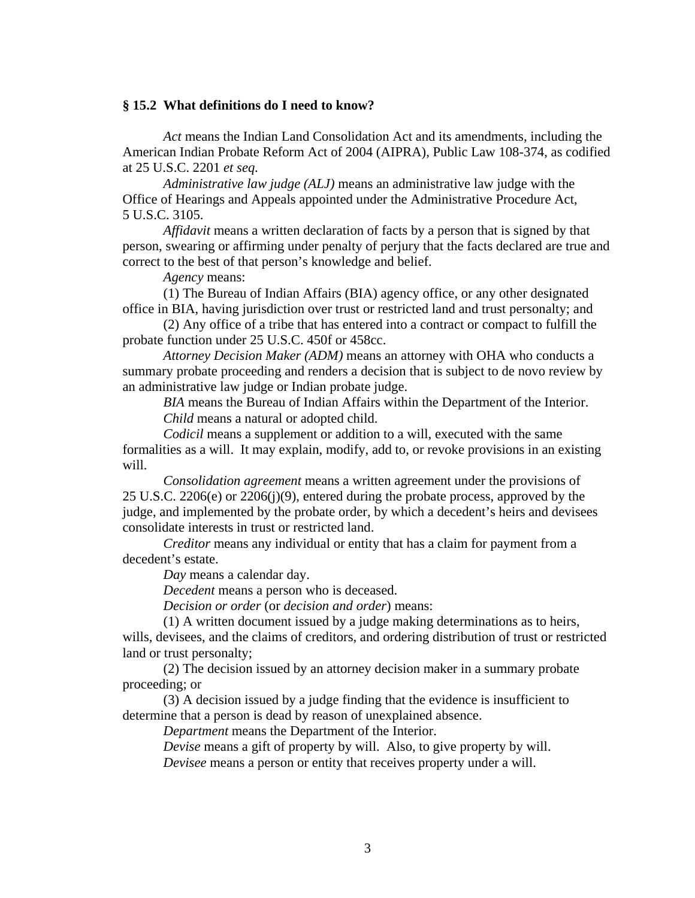#### **§ 15.2 What definitions do I need to know?**

*Act* means the Indian Land Consolidation Act and its amendments, including the American Indian Probate Reform Act of 2004 (AIPRA), Public Law 108-374, as codified at 25 U.S.C. 2201 *et seq.*

*Administrative law judge (ALJ)* means an administrative law judge with the Office of Hearings and Appeals appointed under the Administrative Procedure Act, 5 U.S.C. 3105.

*Affidavit* means a written declaration of facts by a person that is signed by that person, swearing or affirming under penalty of perjury that the facts declared are true and correct to the best of that person's knowledge and belief.

*Agency* means:

(1) The Bureau of Indian Affairs (BIA) agency office, or any other designated office in BIA, having jurisdiction over trust or restricted land and trust personalty; and

(2) Any office of a tribe that has entered into a contract or compact to fulfill the probate function under 25 U.S.C. 450f or 458cc.

*Attorney Decision Maker (ADM)* means an attorney with OHA who conducts a summary probate proceeding and renders a decision that is subject to de novo review by an administrative law judge or Indian probate judge.

*BIA* means the Bureau of Indian Affairs within the Department of the Interior. *Child* means a natural or adopted child.

*Codicil* means a supplement or addition to a will, executed with the same formalities as a will. It may explain, modify, add to, or revoke provisions in an existing will.

*Consolidation agreement* means a written agreement under the provisions of 25 U.S.C. 2206(e) or 2206(j)(9), entered during the probate process, approved by the judge, and implemented by the probate order, by which a decedent's heirs and devisees consolidate interests in trust or restricted land.

*Creditor* means any individual or entity that has a claim for payment from a decedent's estate.

*Day* means a calendar day.

*Decedent* means a person who is deceased.

*Decision or order* (or *decision and order*) means:

(1) A written document issued by a judge making determinations as to heirs, wills, devisees, and the claims of creditors, and ordering distribution of trust or restricted land or trust personalty;

(2) The decision issued by an attorney decision maker in a summary probate proceeding; or

(3) A decision issued by a judge finding that the evidence is insufficient to determine that a person is dead by reason of unexplained absence.

*Department* means the Department of the Interior.

*Devise* means a gift of property by will. Also, to give property by will.

*Devisee* means a person or entity that receives property under a will.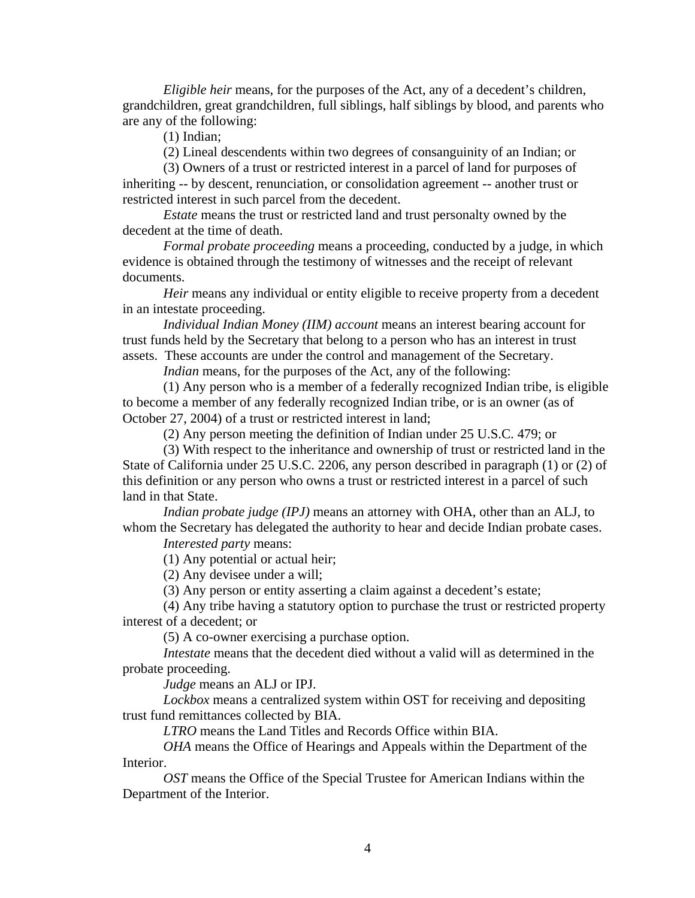*Eligible heir* means, for the purposes of the Act, any of a decedent's children, grandchildren, great grandchildren, full siblings, half siblings by blood, and parents who are any of the following:

(1) Indian;

(2) Lineal descendents within two degrees of consanguinity of an Indian; or

(3) Owners of a trust or restricted interest in a parcel of land for purposes of inheriting -- by descent, renunciation, or consolidation agreement -- another trust or restricted interest in such parcel from the decedent.

*Estate* means the trust or restricted land and trust personalty owned by the decedent at the time of death.

*Formal probate proceeding* means a proceeding, conducted by a judge, in which evidence is obtained through the testimony of witnesses and the receipt of relevant documents.

*Heir* means any individual or entity eligible to receive property from a decedent in an intestate proceeding.

*Individual Indian Money (IIM) account* means an interest bearing account for trust funds held by the Secretary that belong to a person who has an interest in trust assets. These accounts are under the control and management of the Secretary.

*Indian* means, for the purposes of the Act, any of the following:

(1) Any person who is a member of a federally recognized Indian tribe, is eligible to become a member of any federally recognized Indian tribe, or is an owner (as of October 27, 2004) of a trust or restricted interest in land;

(2) Any person meeting the definition of Indian under 25 U.S.C. 479; or

(3) With respect to the inheritance and ownership of trust or restricted land in the State of California under 25 U.S.C. 2206, any person described in paragraph (1) or (2) of this definition or any person who owns a trust or restricted interest in a parcel of such land in that State.

*Indian probate judge (IPJ)* means an attorney with OHA, other than an ALJ, to whom the Secretary has delegated the authority to hear and decide Indian probate cases.

*Interested party* means:

(1) Any potential or actual heir;

(2) Any devisee under a will;

(3) Any person or entity asserting a claim against a decedent's estate;

(4) Any tribe having a statutory option to purchase the trust or restricted property interest of a decedent; or

(5) A co-owner exercising a purchase option.

*Intestate* means that the decedent died without a valid will as determined in the probate proceeding.

*Judge* means an ALJ or IPJ.

*Lockbox* means a centralized system within OST for receiving and depositing trust fund remittances collected by BIA.

*LTRO* means the Land Titles and Records Office within BIA.

*OHA* means the Office of Hearings and Appeals within the Department of the Interior.

*OST* means the Office of the Special Trustee for American Indians within the Department of the Interior.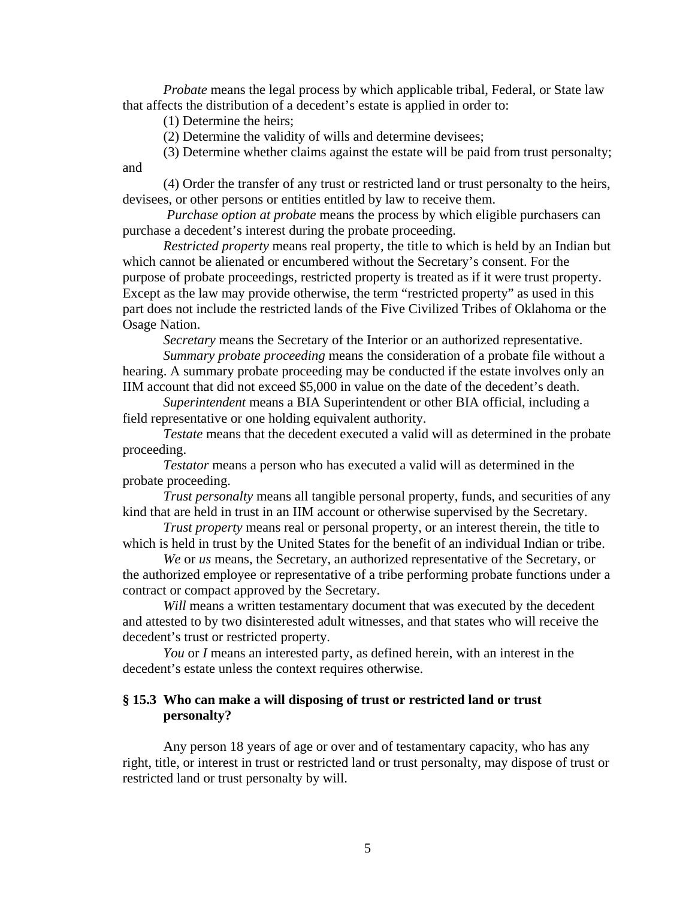*Probate* means the legal process by which applicable tribal, Federal, or State law that affects the distribution of a decedent's estate is applied in order to:

(1) Determine the heirs;

(2) Determine the validity of wills and determine devisees;

(3) Determine whether claims against the estate will be paid from trust personalty; and

(4) Order the transfer of any trust or restricted land or trust personalty to the heirs, devisees, or other persons or entities entitled by law to receive them.

*Purchase option at probate* means the process by which eligible purchasers can purchase a decedent's interest during the probate proceeding.

*Restricted property* means real property, the title to which is held by an Indian but which cannot be alienated or encumbered without the Secretary's consent. For the purpose of probate proceedings, restricted property is treated as if it were trust property. Except as the law may provide otherwise, the term "restricted property" as used in this part does not include the restricted lands of the Five Civilized Tribes of Oklahoma or the Osage Nation.

*Secretary* means the Secretary of the Interior or an authorized representative.

*Summary probate proceeding* means the consideration of a probate file without a hearing. A summary probate proceeding may be conducted if the estate involves only an IIM account that did not exceed \$5,000 in value on the date of the decedent's death.

*Superintendent* means a BIA Superintendent or other BIA official, including a field representative or one holding equivalent authority.

*Testate* means that the decedent executed a valid will as determined in the probate proceeding.

*Testator* means a person who has executed a valid will as determined in the probate proceeding.

*Trust personalty* means all tangible personal property, funds, and securities of any kind that are held in trust in an IIM account or otherwise supervised by the Secretary.

*Trust property* means real or personal property, or an interest therein, the title to which is held in trust by the United States for the benefit of an individual Indian or tribe.

*We* or *us* means, the Secretary, an authorized representative of the Secretary, or the authorized employee or representative of a tribe performing probate functions under a contract or compact approved by the Secretary.

*Will* means a written testamentary document that was executed by the decedent and attested to by two disinterested adult witnesses, and that states who will receive the decedent's trust or restricted property.

*You* or *I* means an interested party, as defined herein, with an interest in the decedent's estate unless the context requires otherwise.

# **§ 15.3 Who can make a will disposing of trust or restricted land or trust personalty?**

Any person 18 years of age or over and of testamentary capacity, who has any right, title, or interest in trust or restricted land or trust personalty, may dispose of trust or restricted land or trust personalty by will.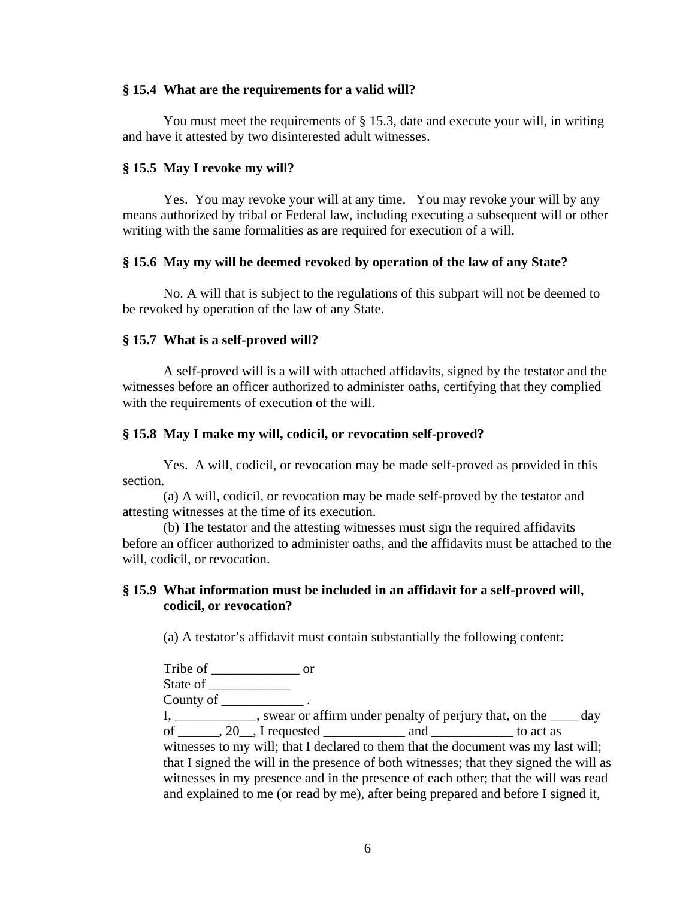# **§ 15.4 What are the requirements for a valid will?**

You must meet the requirements of § 15.3, date and execute your will, in writing and have it attested by two disinterested adult witnesses.

# **§ 15.5 May I revoke my will?**

Yes. You may revoke your will at any time. You may revoke your will by any means authorized by tribal or Federal law, including executing a subsequent will or other writing with the same formalities as are required for execution of a will.

## **§ 15.6 May my will be deemed revoked by operation of the law of any State?**

No. A will that is subject to the regulations of this subpart will not be deemed to be revoked by operation of the law of any State.

## **§ 15.7 What is a self-proved will?**

A self-proved will is a will with attached affidavits, signed by the testator and the witnesses before an officer authorized to administer oaths, certifying that they complied with the requirements of execution of the will.

# **§ 15.8 May I make my will, codicil, or revocation self-proved?**

Yes. A will, codicil, or revocation may be made self-proved as provided in this section.

(a) A will, codicil, or revocation may be made self-proved by the testator and attesting witnesses at the time of its execution.

(b) The testator and the attesting witnesses must sign the required affidavits before an officer authorized to administer oaths, and the affidavits must be attached to the will, codicil, or revocation.

# **§ 15.9 What information must be included in an affidavit for a self-proved will, codicil, or revocation?**

(a) A testator's affidavit must contain substantially the following content:

Tribe of or State of County of \_\_\_\_\_\_\_\_\_\_\_\_ .

I, \_\_\_\_\_\_\_\_\_\_, swear or affirm under penalty of perjury that, on the \_\_\_\_ day of  $\overline{a}$ , 20, I requested and to act as witnesses to my will; that I declared to them that the document was my last will; that I signed the will in the presence of both witnesses; that they signed the will as witnesses in my presence and in the presence of each other; that the will was read and explained to me (or read by me), after being prepared and before I signed it,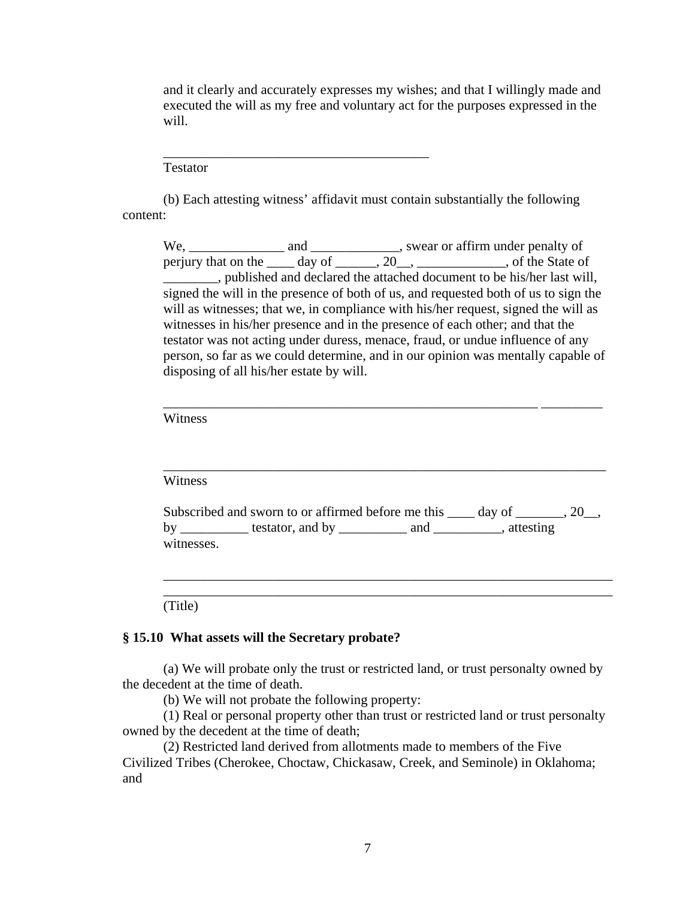and it clearly and accurately expresses my wishes; and that I willingly made and executed the will as my free and voluntary act for the purposes expressed in the will.

Testator

(b) Each attesting witness' affidavit must contain substantially the following content:

\_\_\_\_\_\_\_\_\_\_\_\_\_\_\_\_\_\_\_\_\_\_\_\_\_\_\_\_\_\_\_\_\_\_\_\_\_\_\_

We, \_\_\_\_\_\_\_\_\_\_\_\_\_\_ and \_\_\_\_\_\_\_\_\_\_\_\_\_, swear or affirm under penalty of perjury that on the  $\_\_\_$  day of  $\_\_\_$ , 20 $\_\_\_\_\_\_\_\_\_\_\_$ , of the State of \_\_\_\_\_\_\_\_, published and declared the attached document to be his/her last will, signed the will in the presence of both of us, and requested both of us to sign the will as witnesses; that we, in compliance with his/her request, signed the will as witnesses in his/her presence and in the presence of each other; and that the testator was not acting under duress, menace, fraud, or undue influence of any person, so far as we could determine, and in our opinion was mentally capable of disposing of all his/her estate by will.

\_\_\_\_\_\_\_\_\_\_\_\_\_\_\_\_\_\_\_\_\_\_\_\_\_\_\_\_\_\_\_\_\_\_\_\_\_\_\_\_\_\_\_\_\_\_\_\_\_\_\_\_\_\_\_ \_\_\_\_\_\_\_\_\_

Witness

Witness

|            | Subscribed and sworn to or affirmed before me this |     | day of    |  |
|------------|----------------------------------------------------|-----|-----------|--|
| by         | testator, and by                                   | and | attesting |  |
| witnesses. |                                                    |     |           |  |

\_\_\_\_\_\_\_\_\_\_\_\_\_\_\_\_\_\_\_\_\_\_\_\_\_\_\_\_\_\_\_\_\_\_\_\_\_\_\_\_\_\_\_\_\_\_\_\_\_\_\_\_\_\_\_\_\_\_\_\_\_\_\_\_\_\_ \_\_\_\_\_\_\_\_\_\_\_\_\_\_\_\_\_\_\_\_\_\_\_\_\_\_\_\_\_\_\_\_\_\_\_\_\_\_\_\_\_\_\_\_\_\_\_\_\_\_\_\_\_\_\_\_\_\_\_\_\_\_\_\_\_\_

\_\_\_\_\_\_\_\_\_\_\_\_\_\_\_\_\_\_\_\_\_\_\_\_\_\_\_\_\_\_\_\_\_\_\_\_\_\_\_\_\_\_\_\_\_\_\_\_\_\_\_\_\_\_\_\_\_\_\_\_\_\_\_\_\_

(Title)

#### **§ 15.10 What assets will the Secretary probate?**

(a) We will probate only the trust or restricted land, or trust personalty owned by the decedent at the time of death.

(b) We will not probate the following property:

(1) Real or personal property other than trust or restricted land or trust personalty owned by the decedent at the time of death;

(2) Restricted land derived from allotments made to members of the Five Civilized Tribes (Cherokee, Choctaw, Chickasaw, Creek, and Seminole) in Oklahoma; and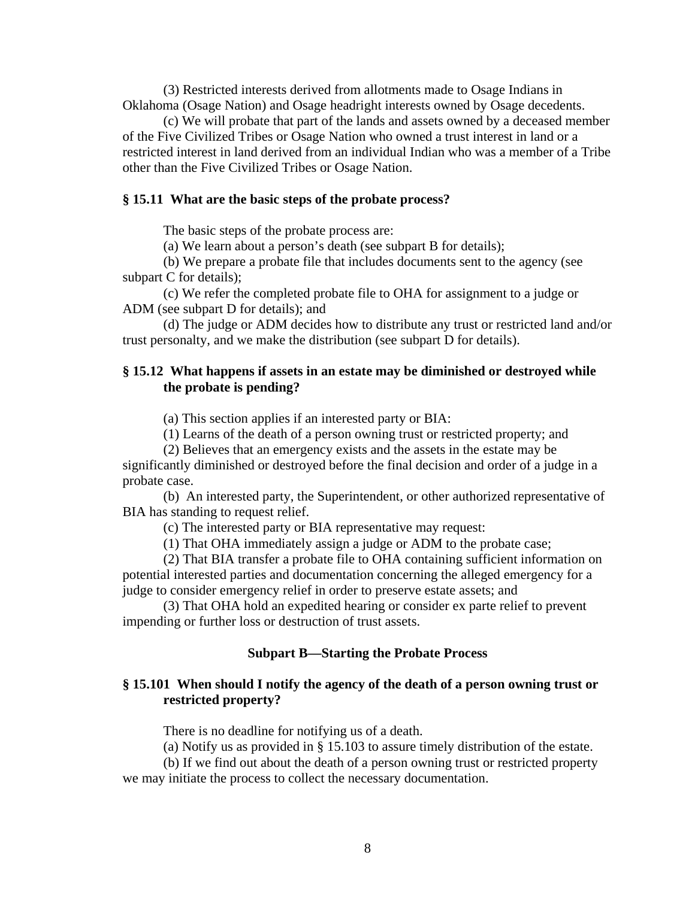(3) Restricted interests derived from allotments made to Osage Indians in Oklahoma (Osage Nation) and Osage headright interests owned by Osage decedents.

(c) We will probate that part of the lands and assets owned by a deceased member of the Five Civilized Tribes or Osage Nation who owned a trust interest in land or a restricted interest in land derived from an individual Indian who was a member of a Tribe other than the Five Civilized Tribes or Osage Nation.

### **§ 15.11 What are the basic steps of the probate process?**

The basic steps of the probate process are:

(a) We learn about a person's death (see subpart B for details);

(b) We prepare a probate file that includes documents sent to the agency (see subpart C for details);

(c) We refer the completed probate file to OHA for assignment to a judge or ADM (see subpart D for details); and

(d) The judge or ADM decides how to distribute any trust or restricted land and/or trust personalty, and we make the distribution (see subpart D for details).

# **§ 15.12 What happens if assets in an estate may be diminished or destroyed while the probate is pending?**

(a) This section applies if an interested party or BIA:

(1) Learns of the death of a person owning trust or restricted property; and

(2) Believes that an emergency exists and the assets in the estate may be significantly diminished or destroyed before the final decision and order of a judge in a probate case.

(b) An interested party, the Superintendent, or other authorized representative of BIA has standing to request relief.

(c) The interested party or BIA representative may request:

(1) That OHA immediately assign a judge or ADM to the probate case;

(2) That BIA transfer a probate file to OHA containing sufficient information on potential interested parties and documentation concerning the alleged emergency for a judge to consider emergency relief in order to preserve estate assets; and

(3) That OHA hold an expedited hearing or consider ex parte relief to prevent impending or further loss or destruction of trust assets.

#### **Subpart B—Starting the Probate Process**

## **§ 15.101 When should I notify the agency of the death of a person owning trust or restricted property?**

There is no deadline for notifying us of a death.

(a) Notify us as provided in § 15.103 to assure timely distribution of the estate.

(b) If we find out about the death of a person owning trust or restricted property we may initiate the process to collect the necessary documentation.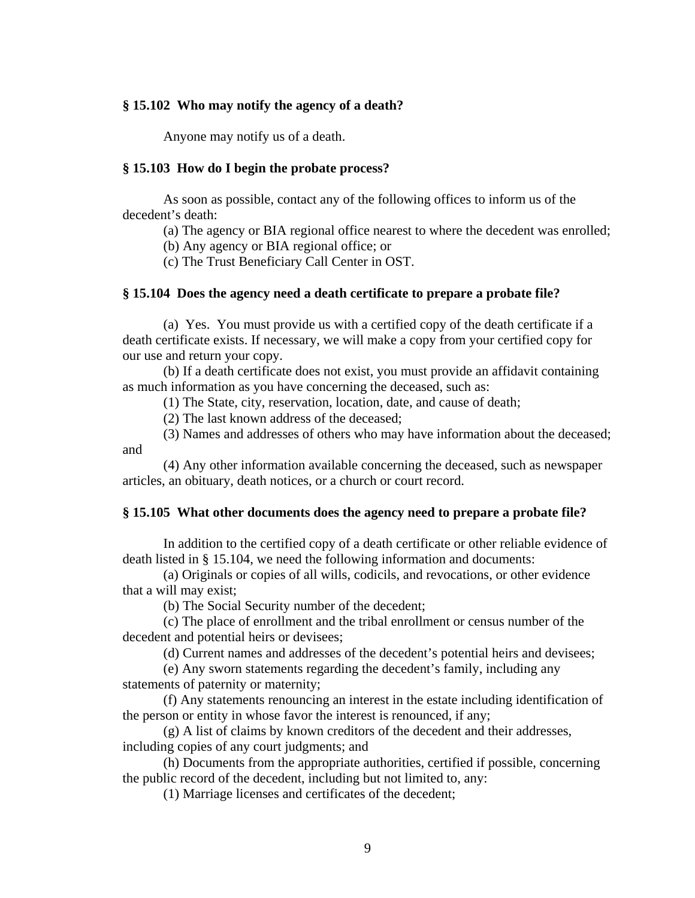### **§ 15.102 Who may notify the agency of a death?**

Anyone may notify us of a death.

#### **§ 15.103 How do I begin the probate process?**

As soon as possible, contact any of the following offices to inform us of the decedent's death:

(a) The agency or BIA regional office nearest to where the decedent was enrolled;

(b) Any agency or BIA regional office; or

(c) The Trust Beneficiary Call Center in OST.

### **§ 15.104 Does the agency need a death certificate to prepare a probate file?**

(a) Yes. You must provide us with a certified copy of the death certificate if a death certificate exists. If necessary, we will make a copy from your certified copy for our use and return your copy.

(b) If a death certificate does not exist, you must provide an affidavit containing as much information as you have concerning the deceased, such as:

(1) The State, city, reservation, location, date, and cause of death;

(2) The last known address of the deceased;

(3) Names and addresses of others who may have information about the deceased; and

(4) Any other information available concerning the deceased, such as newspaper articles, an obituary, death notices, or a church or court record.

#### **§ 15.105 What other documents does the agency need to prepare a probate file?**

In addition to the certified copy of a death certificate or other reliable evidence of death listed in § 15.104, we need the following information and documents:

(a) Originals or copies of all wills, codicils, and revocations, or other evidence that a will may exist;

(b) The Social Security number of the decedent;

(c) The place of enrollment and the tribal enrollment or census number of the decedent and potential heirs or devisees;

(d) Current names and addresses of the decedent's potential heirs and devisees;

(e) Any sworn statements regarding the decedent's family, including any statements of paternity or maternity;

(f) Any statements renouncing an interest in the estate including identification of the person or entity in whose favor the interest is renounced, if any;

(g) A list of claims by known creditors of the decedent and their addresses, including copies of any court judgments; and

(h) Documents from the appropriate authorities, certified if possible, concerning the public record of the decedent, including but not limited to, any:

(1) Marriage licenses and certificates of the decedent;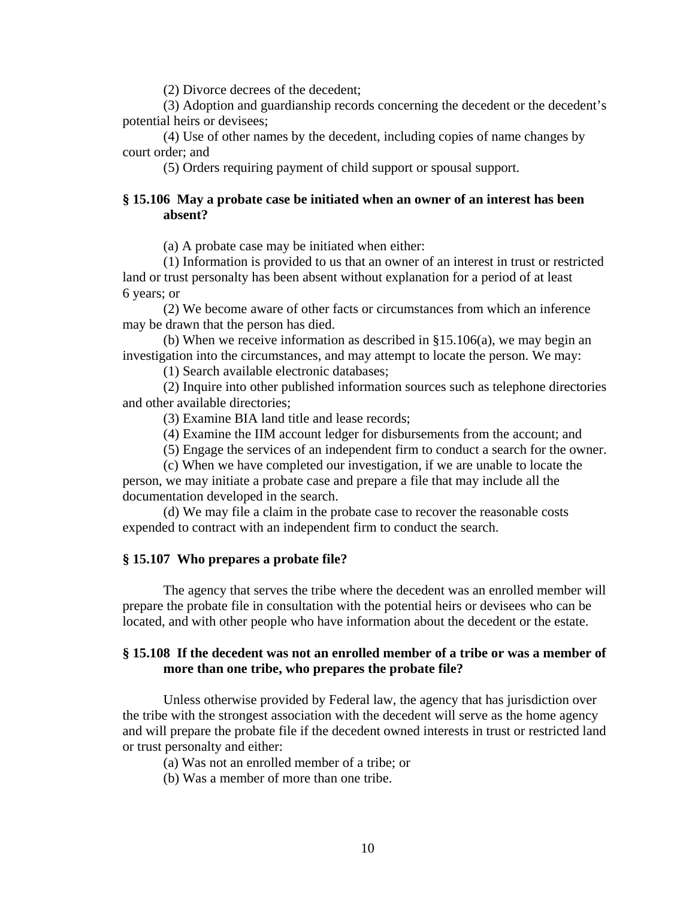(2) Divorce decrees of the decedent;

(3) Adoption and guardianship records concerning the decedent or the decedent's potential heirs or devisees;

(4) Use of other names by the decedent, including copies of name changes by court order; and

(5) Orders requiring payment of child support or spousal support.

# **§ 15.106 May a probate case be initiated when an owner of an interest has been absent?**

(a) A probate case may be initiated when either:

(1) Information is provided to us that an owner of an interest in trust or restricted land or trust personalty has been absent without explanation for a period of at least 6 years; or

(2) We become aware of other facts or circumstances from which an inference may be drawn that the person has died.

(b) When we receive information as described in §15.106(a), we may begin an investigation into the circumstances, and may attempt to locate the person. We may:

(1) Search available electronic databases;

(2) Inquire into other published information sources such as telephone directories and other available directories;

(3) Examine BIA land title and lease records;

(4) Examine the IIM account ledger for disbursements from the account; and

(5) Engage the services of an independent firm to conduct a search for the owner.

(c) When we have completed our investigation, if we are unable to locate the person, we may initiate a probate case and prepare a file that may include all the documentation developed in the search.

(d) We may file a claim in the probate case to recover the reasonable costs expended to contract with an independent firm to conduct the search.

#### **§ 15.107 Who prepares a probate file?**

The agency that serves the tribe where the decedent was an enrolled member will prepare the probate file in consultation with the potential heirs or devisees who can be located, and with other people who have information about the decedent or the estate.

# **§ 15.108 If the decedent was not an enrolled member of a tribe or was a member of more than one tribe, who prepares the probate file?**

Unless otherwise provided by Federal law, the agency that has jurisdiction over the tribe with the strongest association with the decedent will serve as the home agency and will prepare the probate file if the decedent owned interests in trust or restricted land or trust personalty and either:

(a) Was not an enrolled member of a tribe; or

(b) Was a member of more than one tribe.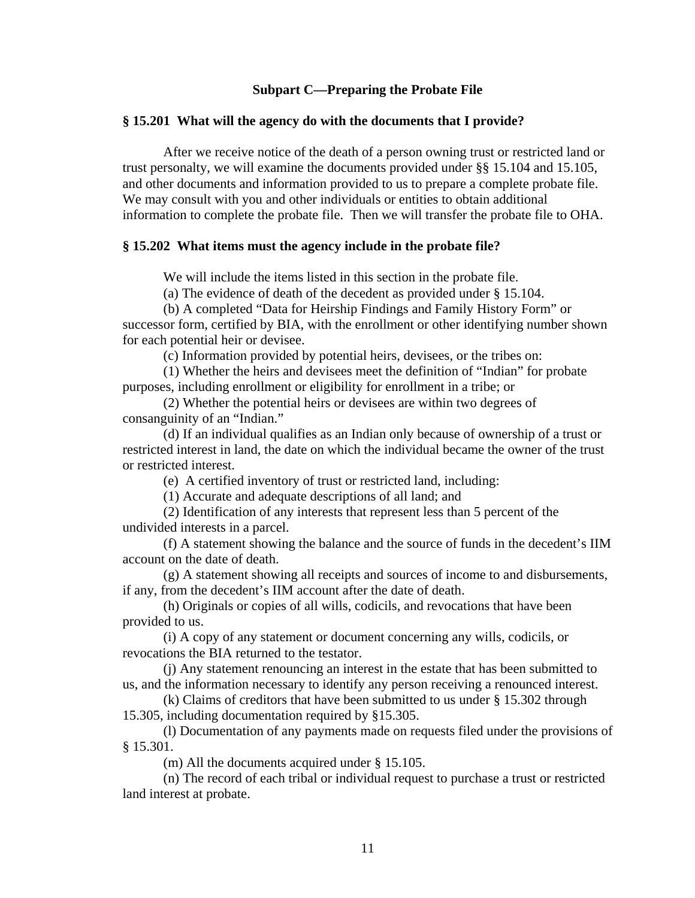## **Subpart C—Preparing the Probate File**

### **§ 15.201 What will the agency do with the documents that I provide?**

After we receive notice of the death of a person owning trust or restricted land or trust personalty, we will examine the documents provided under §§ 15.104 and 15.105, and other documents and information provided to us to prepare a complete probate file. We may consult with you and other individuals or entities to obtain additional information to complete the probate file. Then we will transfer the probate file to OHA.

#### **§ 15.202 What items must the agency include in the probate file?**

We will include the items listed in this section in the probate file.

(a) The evidence of death of the decedent as provided under § 15.104.

(b) A completed "Data for Heirship Findings and Family History Form" or successor form, certified by BIA, with the enrollment or other identifying number shown for each potential heir or devisee.

(c) Information provided by potential heirs, devisees, or the tribes on:

(1) Whether the heirs and devisees meet the definition of "Indian" for probate purposes, including enrollment or eligibility for enrollment in a tribe; or

(2) Whether the potential heirs or devisees are within two degrees of consanguinity of an "Indian."

(d) If an individual qualifies as an Indian only because of ownership of a trust or restricted interest in land, the date on which the individual became the owner of the trust or restricted interest.

(e) A certified inventory of trust or restricted land, including:

(1) Accurate and adequate descriptions of all land; and

(2) Identification of any interests that represent less than 5 percent of the undivided interests in a parcel.

(f) A statement showing the balance and the source of funds in the decedent's IIM account on the date of death.

(g) A statement showing all receipts and sources of income to and disbursements, if any, from the decedent's IIM account after the date of death.

(h) Originals or copies of all wills, codicils, and revocations that have been provided to us.

(i) A copy of any statement or document concerning any wills, codicils, or revocations the BIA returned to the testator.

(j) Any statement renouncing an interest in the estate that has been submitted to us, and the information necessary to identify any person receiving a renounced interest.

(k) Claims of creditors that have been submitted to us under § 15.302 through 15.305, including documentation required by §15.305.

(l) Documentation of any payments made on requests filed under the provisions of § 15.301.

(m) All the documents acquired under § 15.105.

(n) The record of each tribal or individual request to purchase a trust or restricted land interest at probate.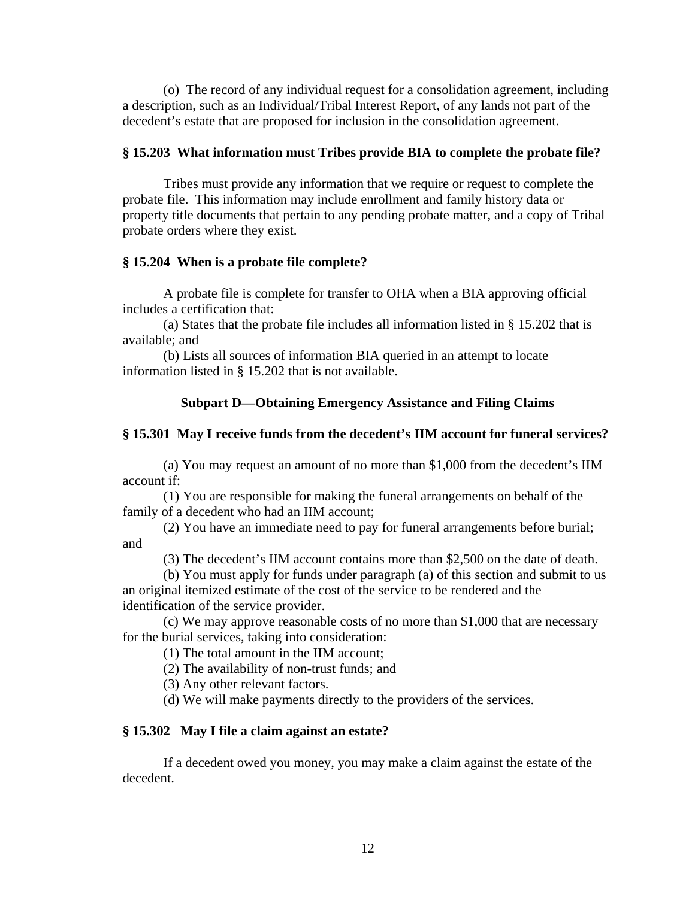(o) The record of any individual request for a consolidation agreement, including a description, such as an Individual/Tribal Interest Report, of any lands not part of the decedent's estate that are proposed for inclusion in the consolidation agreement.

# **§ 15.203 What information must Tribes provide BIA to complete the probate file?**

Tribes must provide any information that we require or request to complete the probate file. This information may include enrollment and family history data or property title documents that pertain to any pending probate matter, and a copy of Tribal probate orders where they exist.

## **§ 15.204 When is a probate file complete?**

A probate file is complete for transfer to OHA when a BIA approving official includes a certification that:

(a) States that the probate file includes all information listed in § 15.202 that is available; and

(b) Lists all sources of information BIA queried in an attempt to locate information listed in § 15.202 that is not available.

# **Subpart D—Obtaining Emergency Assistance and Filing Claims**

## **§ 15.301 May I receive funds from the decedent's IIM account for funeral services?**

(a) You may request an amount of no more than \$1,000 from the decedent's IIM account if:

(1) You are responsible for making the funeral arrangements on behalf of the family of a decedent who had an IIM account;

(2) You have an immediate need to pay for funeral arrangements before burial; and

(3) The decedent's IIM account contains more than \$2,500 on the date of death.

(b) You must apply for funds under paragraph (a) of this section and submit to us an original itemized estimate of the cost of the service to be rendered and the identification of the service provider.

(c) We may approve reasonable costs of no more than \$1,000 that are necessary for the burial services, taking into consideration:

(1) The total amount in the IIM account;

(2) The availability of non-trust funds; and

(3) Any other relevant factors.

(d) We will make payments directly to the providers of the services.

### **§ 15.302 May I file a claim against an estate?**

If a decedent owed you money, you may make a claim against the estate of the decedent.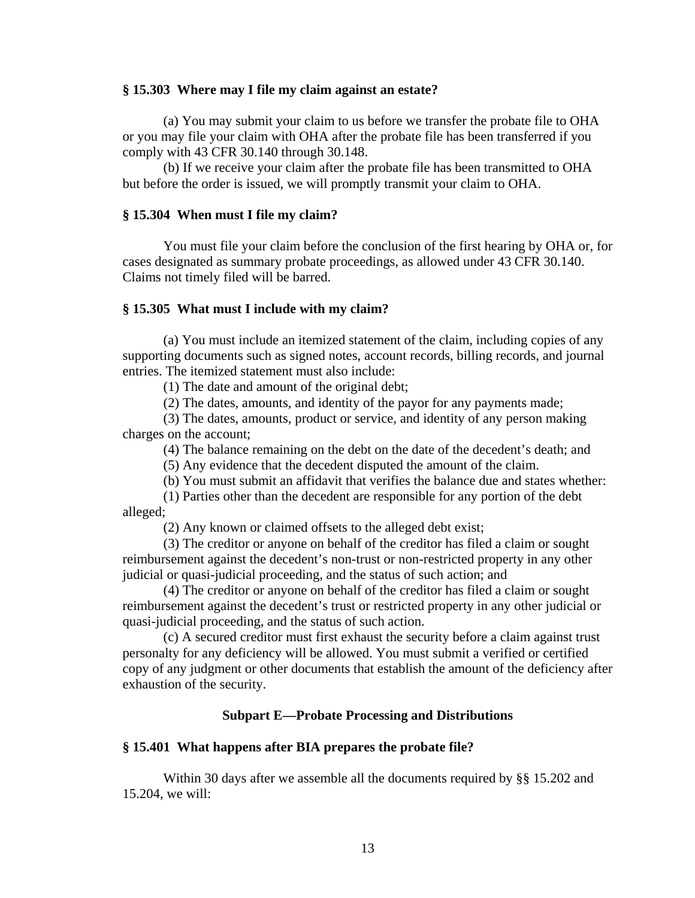### **§ 15.303 Where may I file my claim against an estate?**

(a) You may submit your claim to us before we transfer the probate file to OHA or you may file your claim with OHA after the probate file has been transferred if you comply with 43 CFR 30.140 through 30.148.

(b) If we receive your claim after the probate file has been transmitted to OHA but before the order is issued, we will promptly transmit your claim to OHA.

# **§ 15.304 When must I file my claim?**

You must file your claim before the conclusion of the first hearing by OHA or, for cases designated as summary probate proceedings, as allowed under 43 CFR 30.140. Claims not timely filed will be barred.

#### **§ 15.305 What must I include with my claim?**

(a) You must include an itemized statement of the claim, including copies of any supporting documents such as signed notes, account records, billing records, and journal entries. The itemized statement must also include:

(1) The date and amount of the original debt;

(2) The dates, amounts, and identity of the payor for any payments made;

(3) The dates, amounts, product or service, and identity of any person making charges on the account;

(4) The balance remaining on the debt on the date of the decedent's death; and

(5) Any evidence that the decedent disputed the amount of the claim.

(b) You must submit an affidavit that verifies the balance due and states whether:

(1) Parties other than the decedent are responsible for any portion of the debt alleged;

(2) Any known or claimed offsets to the alleged debt exist;

(3) The creditor or anyone on behalf of the creditor has filed a claim or sought reimbursement against the decedent's non-trust or non-restricted property in any other judicial or quasi-judicial proceeding, and the status of such action; and

(4) The creditor or anyone on behalf of the creditor has filed a claim or sought reimbursement against the decedent's trust or restricted property in any other judicial or quasi-judicial proceeding, and the status of such action.

(c) A secured creditor must first exhaust the security before a claim against trust personalty for any deficiency will be allowed. You must submit a verified or certified copy of any judgment or other documents that establish the amount of the deficiency after exhaustion of the security.

#### **Subpart E—Probate Processing and Distributions**

#### **§ 15.401 What happens after BIA prepares the probate file?**

Within 30 days after we assemble all the documents required by §§ 15.202 and 15.204, we will: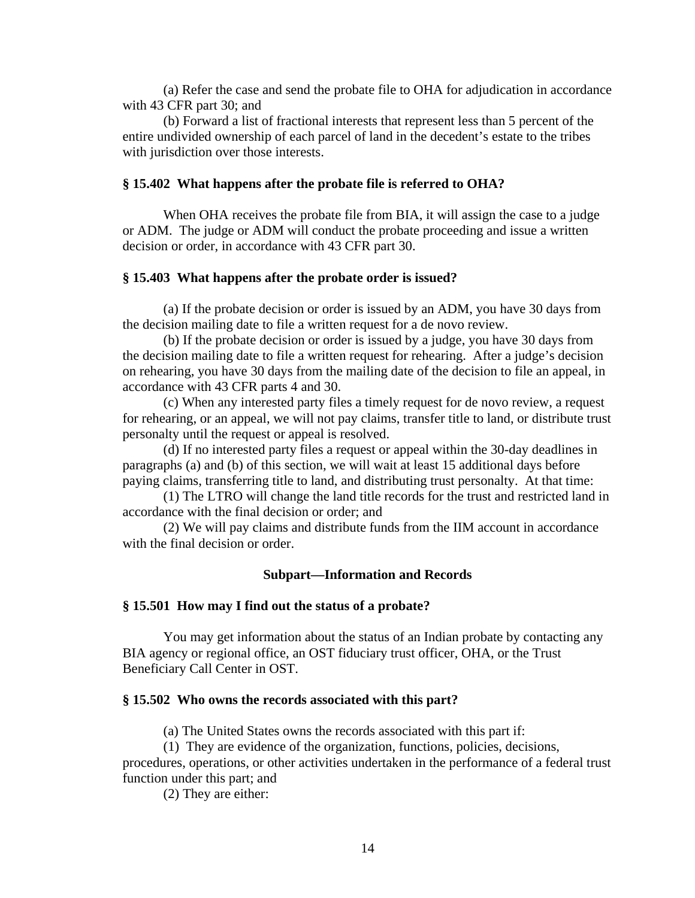(a) Refer the case and send the probate file to OHA for adjudication in accordance with 43 CFR part 30; and

(b) Forward a list of fractional interests that represent less than 5 percent of the entire undivided ownership of each parcel of land in the decedent's estate to the tribes with jurisdiction over those interests.

### **§ 15.402 What happens after the probate file is referred to OHA?**

When OHA receives the probate file from BIA, it will assign the case to a judge or ADM. The judge or ADM will conduct the probate proceeding and issue a written decision or order, in accordance with 43 CFR part 30.

#### **§ 15.403 What happens after the probate order is issued?**

(a) If the probate decision or order is issued by an ADM, you have 30 days from the decision mailing date to file a written request for a de novo review.

(b) If the probate decision or order is issued by a judge, you have 30 days from the decision mailing date to file a written request for rehearing. After a judge's decision on rehearing, you have 30 days from the mailing date of the decision to file an appeal, in accordance with 43 CFR parts 4 and 30.

(c) When any interested party files a timely request for de novo review, a request for rehearing, or an appeal, we will not pay claims, transfer title to land, or distribute trust personalty until the request or appeal is resolved.

(d) If no interested party files a request or appeal within the 30-day deadlines in paragraphs (a) and (b) of this section, we will wait at least 15 additional days before paying claims, transferring title to land, and distributing trust personalty. At that time:

(1) The LTRO will change the land title records for the trust and restricted land in accordance with the final decision or order; and

(2) We will pay claims and distribute funds from the IIM account in accordance with the final decision or order.

#### **Subpart—Information and Records**

#### **§ 15.501 How may I find out the status of a probate?**

You may get information about the status of an Indian probate by contacting any BIA agency or regional office, an OST fiduciary trust officer, OHA, or the Trust Beneficiary Call Center in OST.

#### **§ 15.502 Who owns the records associated with this part?**

(a) The United States owns the records associated with this part if:

(1) They are evidence of the organization, functions, policies, decisions,

procedures, operations, or other activities undertaken in the performance of a federal trust function under this part; and

(2) They are either: